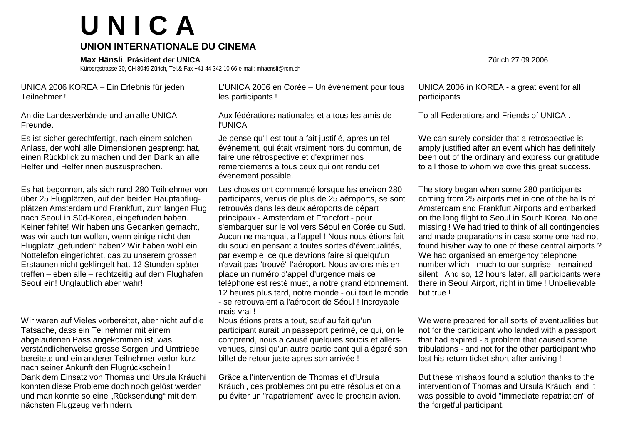## **U N I C A**

## **UNION INTERNATIONALE DU CINEMA**

**Max Hänsli Präsident der UNICA** Zürich 27.09.2006

Kürbergstrasse 30, CH 8049 Zürich, Tel.& Fax +41 44 342 10 66 e-mail: mhaensli@rcm.ch

UNICA 2006 KOREA – Ein Erlebnis für jeden Teilnehmer !

An die Landesverbände und an alle UNICA-Freunde.

Es ist sicher gerechtfertigt, nach einem solchen Anlass, der wohl alle Dimensionen gesprengt hat, einen Rückblick zu machen und den Dank an alle Helfer und Helferinnen auszusprechen.

Es hat begonnen, als sich rund 280 Teilnehmer von über 25 Flugplätzen, auf den beiden Hauptabflugplätzen Amsterdam und Frankfurt, zum langen Flug nach Seoul in Süd-Korea, eingefunden haben. Keiner fehlte! Wir haben uns Gedanken gemacht, was wir auch tun wollen, wenn einige nicht den Flugplatz "gefunden" haben? Wir haben wohl ein Nottelefon eingerichtet, das zu unserem grossen Erstaunen nicht geklingelt hat. 12 Stunden später treffen – eben alle – rechtzeitig auf dem Flughafen Seoul ein! Unglaublich aber wahr!

Wir waren auf Vieles vorbereitet, aber nicht auf die Tatsache, dass ein Teilnehmer mit einem abgelaufenen Pass angekommen ist, was verständlicherweise grosse Sorgen und Umtriebe bereitete und ein anderer Teilnehmer verlor kurz nach seiner Ankunft den Flugrückschein ! Dank dem Einsatz von Thomas und Ursula Kräuchi konnten diese Probleme doch noch gelöst werden und man konnte so eine "Rücksendung" mit dem nächsten Flugzeug verhindern.

L'UNICA 2006 en Corée – Un événement pour tous les participants !

Aux fédérations nationales et a tous les amis de l'UNICA

Je pense qu'il est tout a fait justifié, apres un tel événement, qui était vraiment hors du commun, de faire une rétrospective et d'exprimer nos remerciements a tous ceux qui ont rendu cet événement possible.

Les choses ont commencé lorsque les environ 280 participants, venus de plus de 25 aéroports, se sont retrouvés dans les deux aéroports de départ principaux - Amsterdam et Francfort - pour s'embarquer sur le vol vers Séoul en Corée du Sud. Aucun ne manquait a l'appel ! Nous nous étions fait du souci en pensant a toutes sortes d'éventualités, par exemple ce que devrions faire si quelqu'un n'avait pas "trouvé" l'aéroport. Nous avions mis en place un numéro d'appel d'urgence mais ce téléphone est resté muet, a notre grand étonnement. 12 heures plus tard, notre monde - oui tout le monde - se retrouvaient a l'aéroport de Séoul ! Incroyable mais vrai !

Nous étions prets a tout, sauf au fait qu'un participant aurait un passeport périmé, ce qui, on le comprend, nous a causé quelques soucis et allersvenues, ainsi qu'un autre participant qui a égaré son billet de retour juste apres son arrivée !

Grâce a l'intervention de Thomas et d'Ursula Kräuchi, ces problemes ont pu etre résolus et on a pu éviter un "rapatriement" avec le prochain avion. UNICA 2006 in KOREA - a great event for all participants

To all Federations and Friends of UNICA .

We can surely consider that a retrospective is amply justified after an event which has definitely been out of the ordinary and express our gratitude to all those to whom we owe this great success.

The story began when some 280 participants coming from 25 airports met in one of the halls of Amsterdam and Frankfurt Airports and embarked on the long flight to Seoul in South Korea. No one missing ! We had tried to think of all contingencies and made preparations in case some one had not found his/her way to one of these central airports ? We had organised an emergency telephone number which - much to our surprise - remained silent ! And so, 12 hours later, all participants were there in Seoul Airport, right in time ! Unbelievable but true !

We were prepared for all sorts of eventualities but not for the participant who landed with a passport that had expired - a problem that caused some tribulations - and not for the other participant who lost his return ticket short after arriving !

But these mishaps found a solution thanks to the intervention of Thomas and Ursula Kräuchi and it was possible to avoid "immediate repatriation" of the forgetful participant.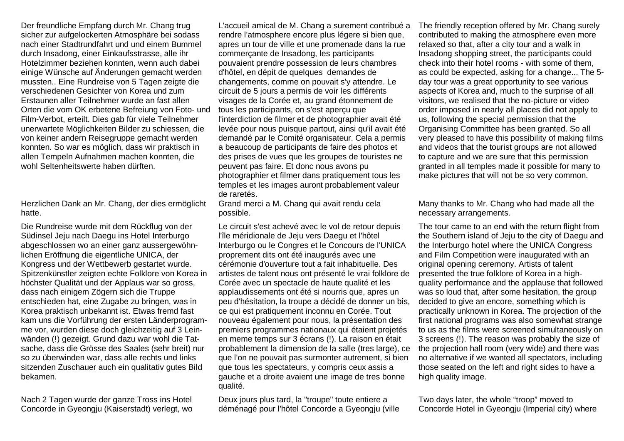Der freundliche Empfang durch Mr. Chang trug sicher zur aufgelockerten Atmosphäre bei sodass nach einer Stadtrundfahrt und und einem Bummel durch Insadong, einer Einkaufsstrasse, alle ihr Hotelzimmer beziehen konnten, wenn auch dabei einige Wünsche auf Änderungen gemacht werden mussten.. Eine Rundreise von 5 Tagen zeigte die verschiedenen Gesichter von Korea und zum Erstaunen aller Teilnehmer wurde an fast allen Orten die vom OK erbetene Befreiung von Foto- und Film-Verbot, erteilt. Dies gab für viele Teilnehmer unerwartete Möglichkeiten Bilder zu schiessen, die von keiner andern Reisegruppe gemacht werden konnten. So war es möglich, dass wir praktisch in allen Tempeln Aufnahmen machen konnten, die wohl Seltenheitswerte haben dürften.

Herzlichen Dank an Mr. Chang, der dies ermöglicht hatte.

Die Rundreise wurde mit dem Rückflug von der Südinsel Jeju nach Daegu ins Hotel Interburgo abgeschlossen wo an einer ganz aussergewöhnlichen Eröffnung die eigentliche UNICA, der Kongress und der Wettbewerb gestartet wurde. Spitzenkünstler zeigten echte Folklore von Korea in höchster Qualität und der Applaus war so gross, dass nach einigem Zögern sich die Truppe entschieden hat, eine Zugabe zu bringen, was in Korea praktisch unbekannt ist. Etwas fremd fast kam uns die Vorführung der ersten Länderprogramme vor, wurden diese doch gleichzeitig auf 3 Leinwänden (!) gezeigt. Grund dazu war wohl die Tatsache, dass die Grösse des Saales (sehr breit) nur so zu überwinden war, dass alle rechts und links sitzenden Zuschauer auch ein qualitativ gutes Bild bekamen.

Nach 2 Tagen wurde der ganze Tross ins Hotel Concorde in Gyeongju (Kaiserstadt) verlegt, wo L'accueil amical de M. Chang a surement contribué a rendre l'atmosphere encore plus légere si bien que, apres un tour de ville et une promenade dans la rue commerçante de Insadong, les participants pouvaient prendre possession de leurs chambres d'hôtel, en dépit de quelques demandes de changements, comme on pouvait s'y attendre. Le circuit de 5 jours a permis de voir les différents visages de la Corée et, au grand étonnement de tous les participants, on s'est aperçu que l'interdiction de filmer et de photographier avait été levée pour nous puisque partout, ainsi qu'il avait été demandé par le Comité organisateur. Cela a permis a beaucoup de participants de faire des photos et des prises de vues que les groupes de touristes ne peuvent pas faire. Et donc nous avons pu photographier et filmer dans pratiquement tous les temples et les images auront probablement valeur de raretés.

Grand merci a M. Chang qui avait rendu cela possible.

Le circuit s'est achevé avec le vol de retour depuis l'île méridionale de Jeju vers Daegu et l'hôtel Interburgo ou le Congres et le Concours de l'UNICA proprement dits ont été inaugurés avec une cérémonie d'ouverture tout a fait inhabituelle. Des artistes de talent nous ont présenté le vrai folklore de Corée avec un spectacle de haute qualité et les applaudissements ont été si nourris que, apres un peu d'hésitation, la troupe a décidé de donner un bis, ce qui est pratiquement inconnu en Corée. Tout nouveau également pour nous, la présentation des premiers programmes nationaux qui étaient projetés en meme temps sur 3 écrans (!). La raison en était probablement la dimension de la salle (tres large), ce que l'on ne pouvait pas surmonter autrement, si bien que tous les spectateurs, y compris ceux assis a gauche et a droite avaient une image de tres bonne qualité.

Deux jours plus tard, la "troupe" toute entiere a déménagé pour l'hôtel Concorde a Gyeongju (ville The friendly reception offered by Mr. Chang surely contributed to making the atmosphere even more relaxed so that, after a city tour and a walk in Insadong shopping street, the participants could check into their hotel rooms - with some of them, as could be expected, asking for a change... The 5 day tour was a great opportunity to see various aspects of Korea and, much to the surprise of all visitors, we realised that the no-picture or video order imposed in nearly all places did not apply to us, following the special permission that the Organising Committee has been granted. So all very pleased to have this possibility of making films and videos that the tourist groups are not allowed to capture and we are sure that this permission granted in all temples made it possible for many to make pictures that will not be so very common.

Many thanks to Mr. Chang who had made all the necessary arrangements.

The tour came to an end with the return flight from the Southern island of Jeju to the city of Daegu and the Interburgo hotel where the UNICA Congress and Film Competition were inaugurated with an original opening ceremony. Artists of talent presented the true folklore of Korea in a highquality performance and the applause that followed was so loud that, after some hesitation, the group decided to give an encore, something which is practically unknown in Korea. The projection of the first national programs was also somewhat strange to us as the films were screened simultaneously on 3 screens (!). The reason was probably the size of the projection hall room (very wide) and there was no alternative if we wanted all spectators, including those seated on the left and right sides to have a high quality image.

Two days later, the whole "troop" moved to Concorde Hotel in Gyeongju (Imperial city) where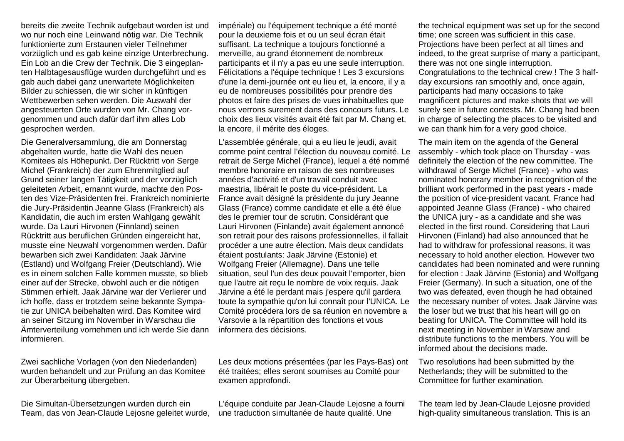bereits die zweite Technik aufgebaut worden ist und wo nur noch eine Leinwand nötig war. Die Technik funktionierte zum Erstaunen vieler Teilnehmer vorzüglich und es gab keine einzige Unterbrechung. Ein Lob an die Crew der Technik. Die 3 eingeplanten Halbtagesausflüge wurden durchgeführt und es gab auch dabei ganz unerwartete Möglichkeiten Bilder zu schiessen, die wir sicher in künftigen Wettbewerben sehen werden. Die Auswahl der angesteuerten Orte wurden von Mr. Chang vorgenommen und auch dafür darf ihm alles Lob gesprochen werden.

Die Generalversammlung, die am Donnerstag abgehalten wurde, hatte die Wahl des neuen Komitees als Höhepunkt. Der Rücktritt von Serge Michel (Frankreich) der zum Ehrenmitglied auf Grund seiner langen Tätigkeit und der vorzüglich geleiteten Arbeit, ernannt wurde, machte den Posten des Vize-Präsidenten frei. Frankreich nominierte die Jury-Präsidentin Jeanne Glass (Frankreich) als Kandidatin, die auch im ersten Wahlgang gewählt wurde. Da Lauri Hirvonen (Finnland) seinen Rücktritt aus beruflichen Gründen eingereicht hat, musste eine Neuwahl vorgenommen werden. Dafür bewarben sich zwei Kandidaten: Jaak Järvine (Estland) und Wolfgang Freier (Deutschland). Wie es in einem solchen Falle kommen musste, so blieb einer auf der Strecke, obwohl auch er die nötigen Stimmen erhielt. Jaak Järvine war der Verlierer und ich hoffe, dass er trotzdem seine bekannte Sympatie zur UNICA beibehalten wird. Das Komitee wird an seiner Sitzung im November in Warschau die Ämterverteilung vornehmen und ich werde Sie dann informieren.

Zwei sachliche Vorlagen (von den Niederlanden) wurden behandelt und zur Prüfung an das Komitee zur Überarbeitung übergeben.

Die Simultan-Übersetzungen wurden durch ein Team, das von Jean-Claude Lejosne geleitet wurde, impériale) ou l'équipement technique a été monté pour la deuxieme fois et ou un seul écran était suffisant. La technique a toujours fonctionné a merveille, au grand étonnement de nombreux participants et il n'y a pas eu une seule interruption. Félicitations a l'équipe technique ! Les 3 excursions d'une la demi-journée ont eu lieu et, la encore, il y a eu de nombreuses possibilités pour prendre des photos et faire des prises de vues inhabituelles que nous verrons surement dans des concours futurs. Le choix des lieux visités avait été fait par M. Chang et, la encore, il mérite des éloges.

L'assemblée générale, qui a eu lieu le jeudi, avait comme point central l'élection du nouveau comité. Le retrait de Serge Michel (France), lequel a été nommé membre honoraire en raison de ses nombreuses années d'activité et d'un travail conduit avec maestria, libérait le poste du vice-président. La France avait désigné la présidente du jury Jeanne Glass (France) comme candidate et elle a été élue des le premier tour de scrutin. Considérant que Lauri Hirvonen (Finlande) avait également annoncé son retrait pour des raisons professionnelles, il fallait procéder a une autre élection. Mais deux candidats étaient postulants: Jaak Järvine (Estonie) et Wolfgang Freier (Allemagne). Dans une telle situation, seul l'un des deux pouvait l'emporter, bien que l'autre ait reçu le nombre de voix requis. Jaak Järvine a été le perdant mais j'espere qu'il gardera toute la sympathie qu'on lui connaît pour l'UNICA. Le Comité procédera lors de sa réunion en novembre a Varsovie a la répartition des fonctions et vous informera des décisions.

Les deux motions présentées (par les Pays-Bas) ont été traitées; elles seront soumises au Comité pour examen approfondi.

L'équipe conduite par Jean-Claude Lejosne a fourni une traduction simultanée de haute qualité. Une

the technical equipment was set up for the second time; one screen was sufficient in this case. Projections have been perfect at all times and indeed, to the great surprise of many a participant, there was not one single interruption. Congratulations to the technical crew ! The 3 halfday excursions ran smoothly and, once again, participants had many occasions to take magnificent pictures and make shots that we will surely see in future contests. Mr. Chang had been in charge of selecting the places to be visited and we can thank him for a very good choice.

The main item on the agenda of the General assembly - which took place on Thursday - was definitely the election of the new committee. The withdrawal of Serge Michel (France) - who was nominated honorary member in recognition of the brilliant work performed in the past years - made the position of vice-president vacant. France had appointed Jeanne Glass (France) - who chaired the UNICA jury - as a candidate and she was elected in the first round. Considering that Lauri Hirvonen (Finland) had also announced that he had to withdraw for professional reasons, it was necessary to hold another election. However two candidates had been nominated and were running for election : Jaak Järvine (Estonia) and Wolfgang Freier (Germany). In such a situation, one of the two was defeated, even though he had obtained the necessary number of votes. Jaak Järvine was the loser but we trust that his heart will go on beating for UNICA. The Committee will hold its next meeting in November in Warsaw and distribute functions to the members. You will be informed about the decisions made.

Two resolutions had been submitted by the Netherlands; they will be submitted to the Committee for further examination.

The team led by Jean-Claude Lejosne provided high-quality simultaneous translation. This is an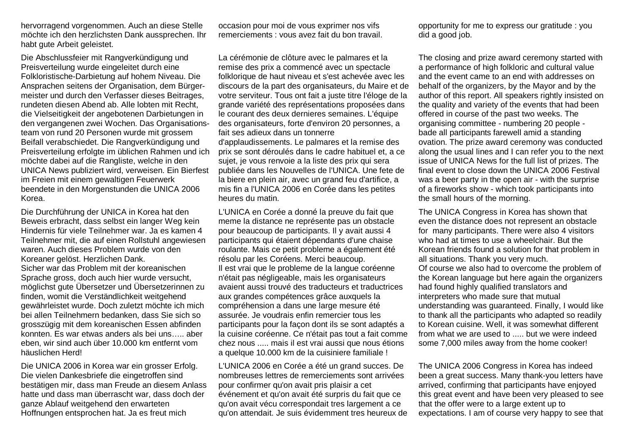hervorragend vorgenommen. Auch an diese Stelle möchte ich den herzlichsten Dank aussprechen. Ihr habt gute Arbeit geleistet.

Die Abschlussfeier mit Rangverkündigung und Preisverteilung wurde eingeleitet durch eine Folkloristische-Darbietung auf hohem Niveau. Die Ansprachen seitens der Organisation, dem Bürgermeister und durch den Verfasser dieses Beitrages, rundeten diesen Abend ab. Alle lobten mit Recht, die Vielseitigkeit der angebotenen Darbietungen in den vergangenen zwei Wochen. Das Organisationsteam von rund 20 Personen wurde mit grossem Beifall verabschiedet. Die Rangverkündigung und Preisverteilung erfolgte im üblichen Rahmen und ich möchte dabei auf die Rangliste, welche in den UNICA News publiziert wird, verweisen. Ein Bierfest im Freien mit einem gewaltigen Feuerwerk beendete in den Morgenstunden die UNICA 2006 Korea.

Die Durchführung der UNICA in Korea hat den Beweis erbracht, dass selbst ein langer Weg kein Hindernis für viele Teilnehmer war. Ja es kamen 4 Teilnehmer mit, die auf einen Rollstuhl angewiesen waren. Auch dieses Problem wurde von den Koreaner gelöst. Herzlichen Dank. Sicher war das Problem mit der koreanischen Sprache gross, doch auch hier wurde versucht, möglichst gute Übersetzer und Übersetzerinnen zu finden, womit die Verständlichkeit weitgehend gewährleistet wurde. Doch zuletzt möchte ich mich bei allen Teilnehmern bedanken, dass Sie sich so grosszügig mit dem koreanischen Essen abfinden konnten. Es war etwas anders als bei uns… .. aber eben, wir sind auch über 10.000 km entfernt vom häuslichen Herd!

Die UNICA 2006 in Korea war ein grosser Erfolg. Die vielen Dankesbriefe die eingetroffen sind bestätigen mir, dass man Freude an diesem Anlass hatte und dass man überrascht war, dass doch der ganze Ablauf weitgehend den erwarteten Hoffnungen entsprochen hat. Ja es freut mich

occasion pour moi de vous exprimer nos vifs remerciements : vous avez fait du bon travail.

La cérémonie de clôture avec le palmares et la remise des prix a commencé avec un spectacle folklorique de haut niveau et s'est achevée avec les discours de la part des organisateurs, du Maire et de votre serviteur. Tous ont fait a juste titre l'éloge de la grande variété des représentations proposées dans le courant des deux dernieres semaines. L'équipe des organisateurs, forte d'environ 20 personnes, a fait ses adieux dans un tonnerre d'applaudissements. Le palmares et la remise des prix se sont déroulés dans le cadre habituel et, a ce suiet, je vous renvoie a la liste des prix qui sera publiée dans les Nouvelles de l'UNICA. Une fete de

la biere en plein air, avec un grand feu d'artifice, a mis fin a l'UNICA 2006 en Corée dans les petites heures du matin.

L'UNICA en Corée a donné la preuve du fait que meme la distance ne représente pas un obstacle pour beaucoup de participants. Il y avait aussi 4 participants qui étaient dépendants d'une chaise roulante. Mais ce petit probleme a également été résolu par les Coréens. Merci beaucoup. Il est vrai que le probleme de la langue coréenne n'était pas négligeable, mais les organisateurs avaient aussi trouvé des traducteurs et traductrices aux grandes compétences grâce auxquels la compréhension a dans une large mesure été assurée. Je voudrais enfin remercier tous les participants pour la façon dont ils se sont adaptés a la cuisine coréenne. Ce n'était pas tout a fait comme chez nous ..... mais il est vrai aussi que nous étions a quelque 10.000 km de la cuisiniere familiale !

L'UNICA 2006 en Corée a été un grand succes. De nombreuses lettres de remerciements sont arrivées pour confirmer qu'on avait pris plaisir a cet événement et qu'on avait été surpris du fait que ce qu'on avait vécu correspondait tres largement a ce qu'on attendait. Je suis évidemment tres heureux de opportunity for me to express our gratitude : you did a good job.

The closing and prize award ceremony started with a performance of high folkloric and cultural value and the event came to an end with addresses on behalf of the organizers, by the Mayor and by the author of this report. All speakers rightly insisted on the quality and variety of the events that had been offered in course of the past two weeks. The organising committee - numbering 20 people bade all participants farewell amid a standing ovation. The prize award ceremony was conducted along the usual lines and I can refer you to the next issue of UNICA News for the full list of prizes. The final event to close down the UNICA 2006 Festival was a beer party in the open air - with the surprise of a fireworks show - which took participants into the small hours of the morning.

The UNICA Congress in Korea has shown that even the distance does not represent an obstacle for many participants. There were also 4 visitors who had at times to use a wheelchair. But the Korean friends found a solution for that problem in all situations. Thank you very much. Of course we also had to overcome the problem of the Korean language but here again the organizers had found highly qualified translators and interpreters who made sure that mutual understanding was guaranteed. Finally, I would like to thank all the participants who adapted so readily to Korean cuisine. Well, it was somewhat different from what we are used to ..... but we were indeed some 7,000 miles away from the home cooker!

The UNICA 2006 Congress in Korea has indeed been a great success. Many thank-you letters have arrived, confirming that participants have enjoyed this great event and have been very pleased to see that the offer were to a large extent up to expectations. I am of course very happy to see that